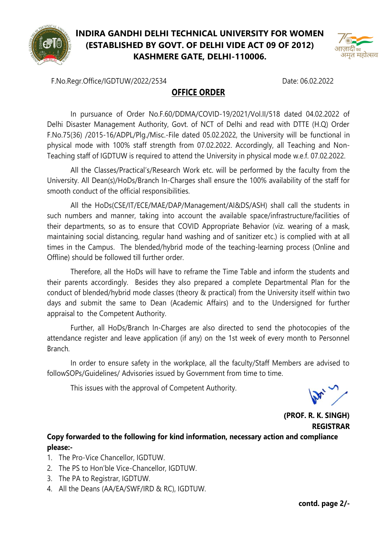

## **INDIRA GANDHI DELHI TECHNICAL UNIVERSITY FOR WOMEN (ESTABLISHED BY GOVT. OF DELHI VIDE ACT 09 OF 2012) KASHMERE GATE, DELHI-110006.**



F.No.Regr.Office/IGDTUW/2022/2534 Date: 06.02.2022

## **OFFICE ORDER**

In pursuance of Order No.F.60/DDMA/COVID-19/2021/Vol.II/518 dated 04.02.2022 of Delhi Disaster Management Authority, Govt. of NCT of Delhi and read with DTTE (H.Q) Order F.No.75(36) /2015-16/ADPL/Plg./Misc.-File dated 05.02.2022, the University will be functional in physical mode with 100% staff strength from 07.02.2022. Accordingly, all Teaching and Non-Teaching staff of IGDTUW is required to attend the University in physical mode w.e.f. 07.02.2022.

All the Classes/Practical's/Research Work etc. will be performed by the faculty from the University. All Dean(s)/HoDs/Branch In-Charges shall ensure the 100% availability of the staff for smooth conduct of the official responsibilities.

All the HoDs(CSE/IT/ECE/MAE/DAP/Management/AI&DS/ASH) shall call the students in such numbers and manner, taking into account the available space/infrastructure/facilities of their departments, so as to ensure that COVID Appropriate Behavior (viz. wearing of a mask, maintaining social distancing, regular hand washing and of sanitizer etc.) is complied with at all times in the Campus. The blended/hybrid mode of the teaching-learning process (Online and Offline) should be followed till further order.

Therefore, all the HoDs will have to reframe the Time Table and inform the students and their parents accordingly. Besides they also prepared a complete Departmental Plan for the conduct of blended/hybrid mode classes (theory & practical) from the University itself within two days and submit the same to Dean (Academic Affairs) and to the Undersigned for further appraisal to the Competent Authority.

Further, all HoDs/Branch In-Charges are also directed to send the photocopies of the attendance register and leave application (if any) on the 1st week of every month to Personnel Branch.

In order to ensure safety in the workplace, all the faculty/Staff Members are advised to followSOPs/Guidelines/ Advisories issued by Government from time to time.

This issues with the approval of Competent Authority.

**(PROF. R. K. SINGH) REGISTRAR**

## **Copy forwarded to the following for kind information, necessary action and compliance please:-**

- 1. The Pro-Vice Chancellor, IGDTUW.
- 2. The PS to Hon'ble Vice-Chancellor, IGDTUW.
- 3. The PA to Registrar, IGDTUW.
- 4. All the Deans (AA/EA/SWF/IRD & RC), IGDTUW.